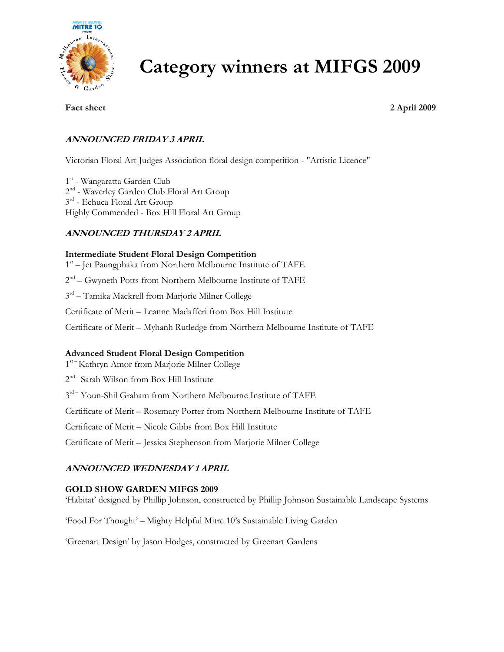

# Category winners at MIFGS 2009

Fact sheet 2 April 2009

### ANNOUNCED FRIDAY 3 APRIL

Victorian Floral Art Judges Association floral design competition - "Artistic Licence"

1 st - Wangaratta Garden Club 2<sup>nd</sup> - Waverley Garden Club Floral Art Group  $3<sup>rd</sup>$  - Echuca Floral Art Group Highly Commended - Box Hill Floral Art Group

### ANNOUNCED THURSDAY 2 APRIL

#### Intermediate Student Floral Design Competition

1<sup>st</sup> - Jet Paungphaka from Northern Melbourne Institute of TAFE

2<sup>nd</sup> – Gwyneth Potts from Northern Melbourne Institute of TAFE

3rd – Tamika Mackrell from Marjorie Milner College

Certificate of Merit – Leanne Madafferi from Box Hill Institute

Certificate of Merit – Myhanh Rutledge from Northern Melbourne Institute of TAFE

#### Advanced Student Floral Design Competition

1 st – Kathryn Amor from Marjorie Milner College

2<sup>nd -</sup> Sarah Wilson from Box Hill Institute

3<sup>rd-</sup> Youn-Shil Graham from Northern Melbourne Institute of TAFE

Certificate of Merit – Rosemary Porter from Northern Melbourne Institute of TAFE

Certificate of Merit – Nicole Gibbs from Box Hill Institute

Certificate of Merit – Jessica Stephenson from Marjorie Milner College

#### ANNOUNCED WEDNESDAY 1 APRIL

#### GOLD SHOW GARDEN MIFGS 2009

'Habitat' designed by Phillip Johnson, constructed by Phillip Johnson Sustainable Landscape Systems

'Food For Thought' – Mighty Helpful Mitre 10's Sustainable Living Garden

'Greenart Design' by Jason Hodges, constructed by Greenart Gardens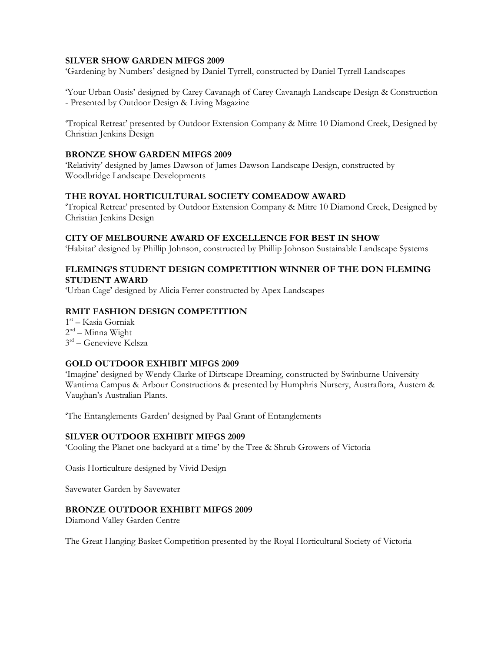#### SILVER SHOW GARDEN MIFGS 2009

'Gardening by Numbers' designed by Daniel Tyrrell, constructed by Daniel Tyrrell Landscapes

'Your Urban Oasis' designed by Carey Cavanagh of Carey Cavanagh Landscape Design & Construction - Presented by Outdoor Design & Living Magazine

'Tropical Retreat' presented by Outdoor Extension Company & Mitre 10 Diamond Creek, Designed by Christian Jenkins Design

#### BRONZE SHOW GARDEN MIFGS 2009

'Relativity' designed by James Dawson of James Dawson Landscape Design, constructed by Woodbridge Landscape Developments

#### THE ROYAL HORTICULTURAL SOCIETY COMEADOW AWARD

'Tropical Retreat' presented by Outdoor Extension Company & Mitre 10 Diamond Creek, Designed by Christian Jenkins Design

#### CITY OF MELBOURNE AWARD OF EXCELLENCE FOR BEST IN SHOW

'Habitat' designed by Phillip Johnson, constructed by Phillip Johnson Sustainable Landscape Systems

#### FLEMING'S STUDENT DESIGN COMPETITION WINNER OF THE DON FLEMING STUDENT AWARD

'Urban Cage' designed by Alicia Ferrer constructed by Apex Landscapes

#### RMIT FASHION DESIGN COMPETITION

1 st – Kasia Gorniak 2<sup>nd</sup> – Minna Wight 3 rd – Genevieve Kelsza

#### GOLD OUTDOOR EXHIBIT MIFGS 2009

'Imagine' designed by Wendy Clarke of Dirtscape Dreaming, constructed by Swinburne University Wantirna Campus & Arbour Constructions & presented by Humphris Nursery, Austraflora, Austem & Vaughan's Australian Plants.

'The Entanglements Garden' designed by Paal Grant of Entanglements

#### SILVER OUTDOOR EXHIBIT MIFGS 2009

'Cooling the Planet one backyard at a time' by the Tree & Shrub Growers of Victoria

Oasis Horticulture designed by Vivid Design

Savewater Garden by Savewater

#### BRONZE OUTDOOR EXHIBIT MIFGS 2009

Diamond Valley Garden Centre

The Great Hanging Basket Competition presented by the Royal Horticultural Society of Victoria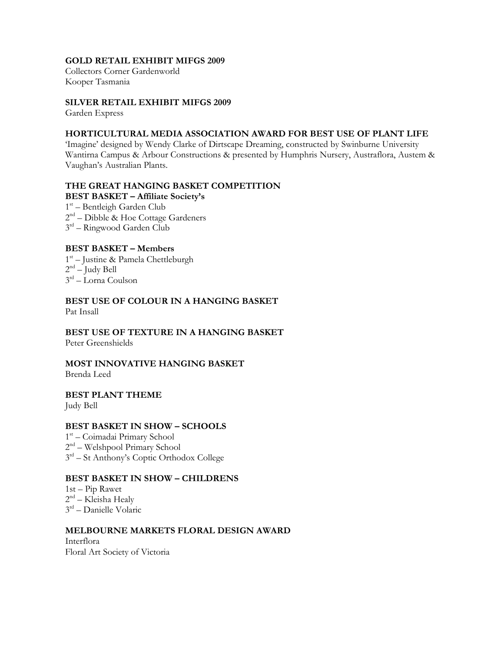#### GOLD RETAIL EXHIBIT MIFGS 2009

Collectors Corner Gardenworld Kooper Tasmania

#### SILVER RETAIL EXHIBIT MIFGS 2009

Garden Express

#### HORTICULTURAL MEDIA ASSOCIATION AWARD FOR BEST USE OF PLANT LIFE

'Imagine' designed by Wendy Clarke of Dirtscape Dreaming, constructed by Swinburne University Wantirna Campus & Arbour Constructions & presented by Humphris Nursery, Austraflora, Austem & Vaughan's Australian Plants.

#### THE GREAT HANGING BASKET COMPETITION BEST BASKET – Affiliate Society's

1<sup>st</sup> – Bentleigh Garden Club 2<sup>nd</sup> – Dibble & Hoe Cottage Gardeners 3 rd – Ringwood Garden Club

#### BEST BASKET – Members

1 st – Justine & Pamela Chettleburgh 2 nd – Judy Bell 3 rd – Lorna Coulson

BEST USE OF COLOUR IN A HANGING BASKET Pat Insall

BEST USE OF TEXTURE IN A HANGING BASKET Peter Greenshields

## MOST INNOVATIVE HANGING BASKET

Brenda Leed

### BEST PLANT THEME

Judy Bell

#### BEST BASKET IN SHOW – SCHOOLS

1 st – Coimadai Primary School 2 nd – Welshpool Primary School 3<sup>rd</sup> – St Anthony's Coptic Orthodox College

#### BEST BASKET IN SHOW – CHILDRENS

1st – Pip Rawet 2<sup>nd</sup> – Kleisha Healy 3 rd – Danielle Volaric

#### MELBOURNE MARKETS FLORAL DESIGN AWARD

Interflora Floral Art Society of Victoria